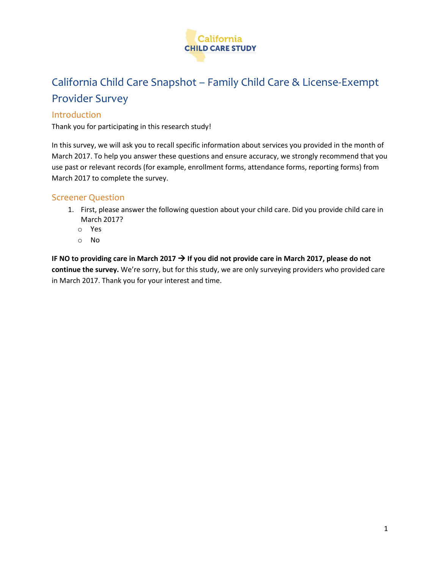

# California Child Care Snapshot – Family Child Care & License-Exempt Provider Survey

### Introduction

Thank you for participating in this research study!

In this survey, we will ask you to recall specific information about services you provided in the month of March 2017. To help you answer these questions and ensure accuracy, we strongly recommend that you use past or relevant records (for example, enrollment forms, attendance forms, reporting forms) from March 2017 to complete the survey.

# Screener Question

- 1. First, please answer the following question about your child care. Did you provide child care in March 2017?
	- o Yes
	- o No

**IF NO to providing care in March 2017**  $\rightarrow$  **If you did not provide care in March 2017, please do not continue the survey.** We're sorry, but for this study, we are only surveying providers who provided care in March 2017. Thank you for your interest and time.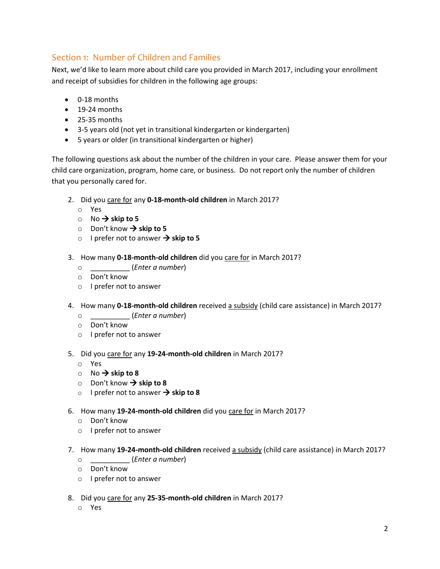# Section 1: Number of Children and Families

Next, we'd like to learn more about child care you provided in March 2017, including your enrollment and receipt of subsidies for children in the following age groups:

- 0-18 months
- 19-24 months
- 25-35 months
- 3-5 years old (not yet in transitional kindergarten or kindergarten)
- 5 years or older (in transitional kindergarten or higher)

The following questions ask about the number of the children in your care. Please answer them for your child care organization, program, home care, or business. Do not report only the number of children that you personally cared for.

- 2. Did you care for any **0-18-month-old children** in March 2017?
	- o Yes
	- $\circ$  No  $\rightarrow$  skip to 5
	- o Don't know **skip to 5**
	- o I prefer not to answer  $\rightarrow$  skip to 5
- 3. How many **0-18-month-old children** did you care for in March 2017?
	- o \_\_\_\_\_\_\_\_\_\_ (*Enter a number*)
	- o Don't know
	- o I prefer not to answer
- 4. How many **0-18-month-old children** received a subsidy (child care assistance) in March 2017?
	- o \_\_\_\_\_\_\_\_\_\_ (*Enter a number*)
	- o Don't know
	- o I prefer not to answer
- 5. Did you care for any **19-24-month-old children** in March 2017?
	- o Yes
	- $\circ$  No  $\rightarrow$  skip to 8
	- o Don't know  $\rightarrow$  skip to 8
	- o I prefer not to answer  $\rightarrow$  skip to 8
- 6. How many **19-24-month-old children** did you care for in March 2017?
	- o Don't know
	- o I prefer not to answer
- 7. How many **19-24-month-old children** received a subsidy (child care assistance) in March 2017?
	- o \_\_\_\_\_\_\_\_\_\_ (*Enter a number*)
	- o Don't know
	- o I prefer not to answer
- 8. Did you care for any **25-35-month-old children** in March 2017?
	- o Yes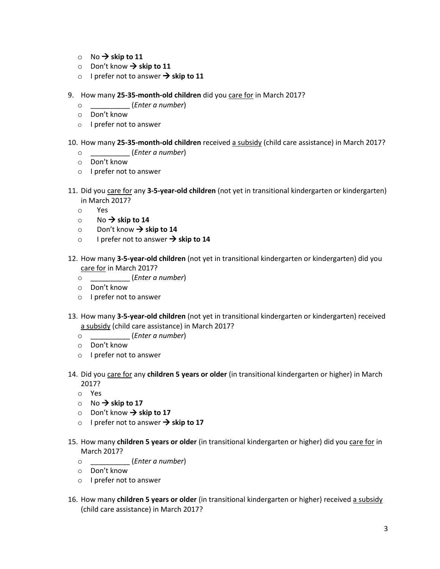- $\circ$  No  $\rightarrow$  skip to 11
- $\circ$  Don't know  $\rightarrow$  skip to 11
- o I prefer not to answer  $\rightarrow$  skip to 11
- 9. How many **25-35-month-old children** did you care for in March 2017?
	- o \_\_\_\_\_\_\_\_\_\_ (*Enter a number*)
	- o Don't know
	- o I prefer not to answer

#### 10. How many **25-35-month-old children** received a subsidy (child care assistance) in March 2017?

- o \_\_\_\_\_\_\_\_\_\_ (*Enter a number*)
- o Don't know
- o I prefer not to answer
- 11. Did you care for any **3-5-year-old children** (not yet in transitional kindergarten or kindergarten) in March 2017?
	- o Yes
	- $\circ$  No  $\rightarrow$  skip to 14
	- $\circ$  Don't know  $\rightarrow$  skip to 14
	- o I prefer not to answer  $\rightarrow$  skip to 14
- 12. How many **3-5-year-old children** (not yet in transitional kindergarten or kindergarten) did you care for in March 2017?
	- o \_\_\_\_\_\_\_\_\_\_ (*Enter a number*)
	- o Don't know
	- o I prefer not to answer
- 13. How many **3-5-year-old children** (not yet in transitional kindergarten or kindergarten) received a subsidy (child care assistance) in March 2017?
	- o \_\_\_\_\_\_\_\_\_\_ (*Enter a number*)
	- o Don't know
	- o I prefer not to answer
- 14. Did you care for any **children 5 years or older** (in transitional kindergarten or higher) in March 2017?
	- o Yes
	- $\circ$  No  $\rightarrow$  skip to 17
	- $\circ$  Don't know  $\rightarrow$  skip to 17
	- o I prefer not to answer  $\rightarrow$  skip to 17
- 15. How many **children 5 years or older** (in transitional kindergarten or higher) did you care for in March 2017?
	- o \_\_\_\_\_\_\_\_\_\_ (*Enter a number*)
	- o Don't know
	- o I prefer not to answer
- 16. How many **children 5 years or older** (in transitional kindergarten or higher) received a subsidy (child care assistance) in March 2017?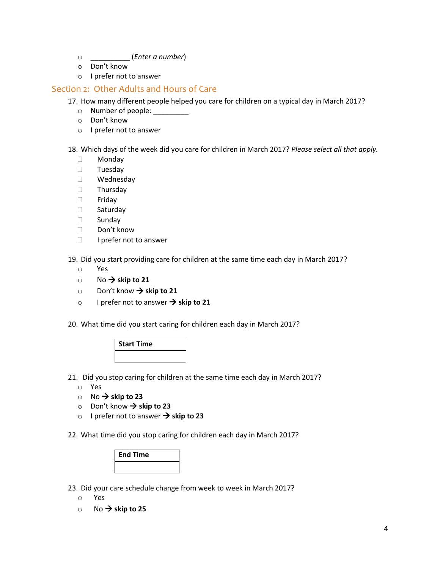- o \_\_\_\_\_\_\_\_\_\_ (*Enter a number*)
- o Don't know
- o I prefer not to answer

### Section 2: Other Adults and Hours of Care

17. How many different people helped you care for children on a typical day in March 2017?

- o Number of people: \_\_\_\_\_\_\_\_\_
- o Don't know
- o I prefer not to answer

18. Which days of the week did you care for children in March 2017? *Please select all that apply.*

- Monday
- D Tuesday
- Wednesday
- Thursday
- Friday
- □ Saturday
- Sunday
- $\Box$  Don't know
- $\Box$  I prefer not to answer

19. Did you start providing care for children at the same time each day in March 2017?

- o Yes
- $\circ$  No  $\rightarrow$  skip to 21
- o Don't know **skip to 21**
- o I prefer not to answer  $\rightarrow$  skip to 21

20. What time did you start caring for children each day in March 2017?

| <b>Start Time</b> |  |
|-------------------|--|
|                   |  |

21. Did you stop caring for children at the same time each day in March 2017?

- o Yes
- $\circ$  No  $\rightarrow$  skip to 23
- o Don't know **skip to 23**
- o I prefer not to answer **skip to 23**

22. What time did you stop caring for children each day in March 2017?

| <b>End Time</b> |
|-----------------|
|                 |

23. Did your care schedule change from week to week in March 2017?

- o Yes
- $\circ$  No  $\rightarrow$  skip to 25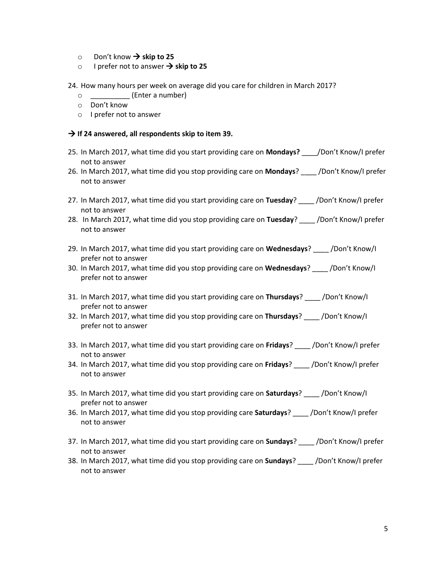- $\circ$  Don't know  $\rightarrow$  skip to 25
- o I prefer not to answer  $\rightarrow$  skip to 25

24. How many hours per week on average did you care for children in March 2017?

- o \_\_\_\_\_\_\_\_\_\_ (Enter a number)
- o Don't know
- o I prefer not to answer

#### **If 24 answered, all respondents skip to item 39.**

- 25. In March 2017, what time did you start providing care on **Mondays?** \_\_\_\_/Don't Know/I prefer not to answer
- 26. In March 2017, what time did you stop providing care on **Mondays**? \_\_\_\_ /Don't Know/I prefer not to answer
- 27. In March 2017, what time did you start providing care on **Tuesday**? \_\_\_\_ /Don't Know/I prefer not to answer
- 28. In March 2017, what time did you stop providing care on **Tuesday**? \_\_\_\_ /Don't Know/I prefer not to answer
- 29. In March 2017, what time did you start providing care on **Wednesdays**? \_\_\_\_ /Don't Know/I prefer not to answer
- 30. In March 2017, what time did you stop providing care on **Wednesdays**? \_\_\_\_ /Don't Know/I prefer not to answer
- 31. In March 2017, what time did you start providing care on **Thursdays**? \_\_\_\_ /Don't Know/I prefer not to answer
- 32. In March 2017, what time did you stop providing care on **Thursdays**? \_\_\_\_ /Don't Know/I prefer not to answer
- 33. In March 2017, what time did you start providing care on **Fridays**? \_\_\_\_ /Don't Know/I prefer not to answer
- 34. In March 2017, what time did you stop providing care on **Fridays**? \_\_\_\_ /Don't Know/I prefer not to answer
- 35. In March 2017, what time did you start providing care on **Saturdays**? \_\_\_\_ /Don't Know/I prefer not to answer
- 36. In March 2017, what time did you stop providing care **Saturdays**? \_\_\_\_ /Don't Know/I prefer not to answer
- 37. In March 2017, what time did you start providing care on **Sundays**? \_\_\_\_ /Don't Know/I prefer not to answer
- 38. In March 2017, what time did you stop providing care on **Sundays**? \_\_\_\_ /Don't Know/I prefer not to answer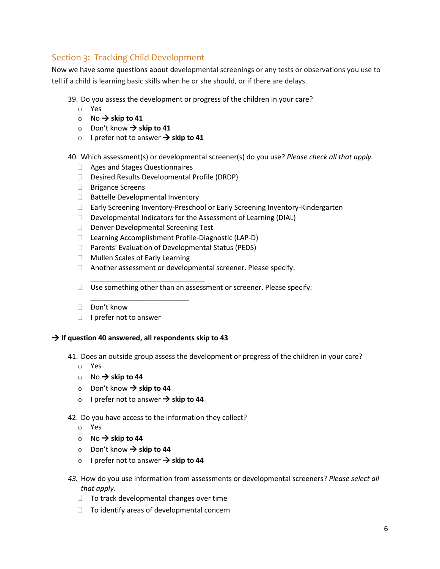# Section 3: Tracking Child Development

Now we have some questions about developmental screenings or any tests or observations you use to tell if a child is learning basic skills when he or she should, or if there are delays.

39. Do you assess the development or progress of the children in your care?

- o Yes
- $\circ$  No  $\rightarrow$  skip to 41
- $\circ$  Don't know  $\rightarrow$  skip to 41
- o I prefer not to answer  $\rightarrow$  skip to 41

40. Which assessment(s) or developmental screener(s) do you use? *Please check all that apply.*

- Ages and Stages Questionnaires
- Desired Results Developmental Profile (DRDP)
- □ Brigance Screens
- □ Battelle Developmental Inventory
- Early Screening Inventory-Preschool or Early Screening Inventory-Kindergarten
- Developmental Indicators for the Assessment of Learning (DIAL)
- Denver Developmental Screening Test

\_\_\_\_\_\_\_\_\_\_\_\_\_\_\_\_\_\_\_\_\_\_\_\_\_\_\_\_\_

- □ Learning Accomplishment Profile-Diagnostic (LAP-D)
- □ Parents' Evaluation of Developmental Status (PEDS)
- □ Mullen Scales of Early Learning
- Another assessment or developmental screener. Please specify:
- $\Box$  Use something other than an assessment or screener. Please specify:
- Don't know
- $\Box$  I prefer not to answer

### **If question 40 answered, all respondents skip to 43**

\_\_\_\_\_\_\_\_\_\_\_\_\_\_\_\_\_\_\_\_\_\_\_\_\_

41. Does an outside group assess the development or progress of the children in your care?

- o Yes
- $\circ$  No  $\rightarrow$  skip to 44
- $\circ$  Don't know  $\rightarrow$  skip to 44
- o I prefer not to answer  $\rightarrow$  skip to 44

42. Do you have access to the information they collect?

- o Yes
- $\circ$  No  $\rightarrow$  skip to 44
- $\circ$  Don't know  $\rightarrow$  skip to 44
- o I prefer not to answer  $\rightarrow$  skip to 44
- *43.* How do you use information from assessments or developmental screeners? *Please select all that apply.* 
	- $\Box$  To track developmental changes over time
	- $\Box$  To identify areas of developmental concern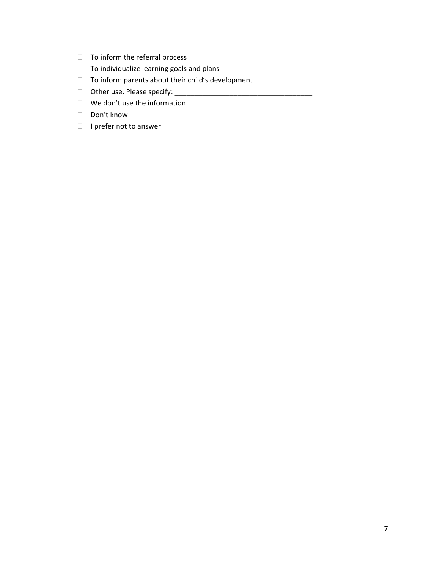- $\Box$  To inform the referral process
- $\Box$  To individualize learning goals and plans
- $\Box$  To inform parents about their child's development
- □ Other use. Please specify: \_\_\_\_\_
- We don't use the information
- Don't know
- $\Box$  I prefer not to answer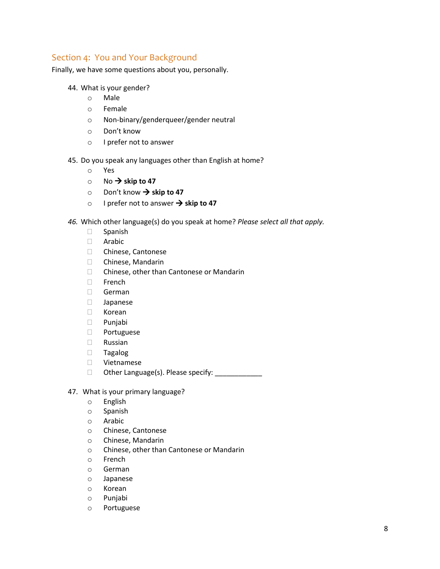# Section 4: You and Your Background

Finally, we have some questions about you, personally.

- 44. What is your gender?
	- o Male
	- o Female
	- o Non-binary/genderqueer/gender neutral
	- o Don't know
	- o I prefer not to answer
- 45. Do you speak any languages other than English at home?
	- o Yes
	- $\circ$  No  $\rightarrow$  skip to 47
	- o Don't know **skip to 47**
	- o I prefer not to answer  $\rightarrow$  skip to 47
- *46.* Which other language(s) do you speak at home? *Please select all that apply.*
	- Spanish
	- Arabic
	- □ Chinese, Cantonese
	- Chinese, Mandarin
	- □ Chinese, other than Cantonese or Mandarin
	- □ French
	- German
	- Japanese
	- Korean
	- Punjabi
	- Portuguese
	- Russian
	- Tagalog
	- Vietnamese
	- $\Box$  Other Language(s). Please specify:
- 47. What is your primary language?
	- o English
	- o Spanish
	- o Arabic
	- o Chinese, Cantonese
	- o Chinese, Mandarin
	- o Chinese, other than Cantonese or Mandarin
	- o French
	- o German
	- o Japanese
	- o Korean
	- o Punjabi
	- o Portuguese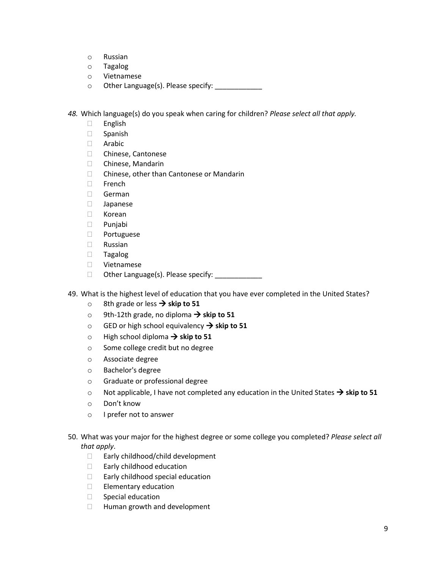- o Russian
- o Tagalog
- o Vietnamese
- o Other Language(s). Please specify: \_\_\_\_\_\_\_\_\_\_\_\_

*48.* Which language(s) do you speak when caring for children? *Please select all that apply.*

- English
- Spanish
- Arabic
- Chinese, Cantonese
- Chinese, Mandarin
- □ Chinese, other than Cantonese or Mandarin
- $\Box$  French
- German
- Japanese
- Korean
- Punjabi
- Portuguese
- Russian
- Tagalog
- Vietnamese
- □ Other Language(s). Please specify: \_\_\_\_\_\_\_\_\_\_\_\_
- 49. What is the highest level of education that you have ever completed in the United States?
	- 8th grade or less → skip to 51
	- o 9th-12th grade, no diploma  $\rightarrow$  skip to 51
	- $\circ$  GED or high school equivalency  $\rightarrow$  skip to 51
	- $\circ$  High school diploma  $\rightarrow$  skip to 51
	- o Some college credit but no degree
	- o Associate degree
	- o Bachelor's degree
	- o Graduate or professional degree
	- $\circ$  Not applicable, I have not completed any education in the United States  $\rightarrow$  skip to 51
	- o Don't know
	- o I prefer not to answer
- 50. What was your major for the highest degree or some college you completed? *Please select all that apply*.
	- □ Early childhood/child development
	- □ Early childhood education
	- □ Early childhood special education
	- $\Box$  Elementary education
	- $\Box$  Special education
	- □ Human growth and development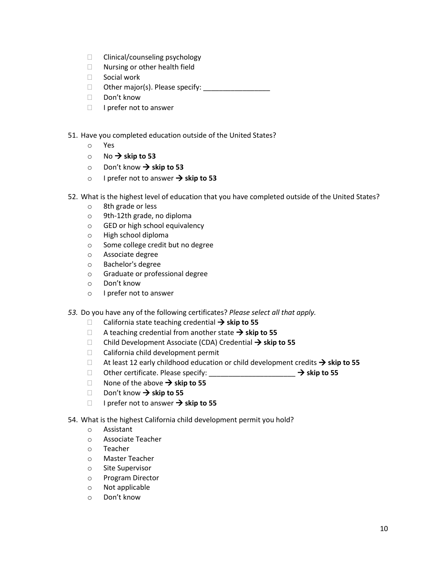- $\Box$  Clinical/counseling psychology
- □ Nursing or other health field
- □ Social work
- Other major(s). Please specify: \_\_\_\_\_\_\_\_\_\_\_\_\_\_\_\_\_
- □ Don't know
- $\Box$  I prefer not to answer
- 51. Have you completed education outside of the United States?
	- o Yes
	- $\circ$  No  $\rightarrow$  skip to 53
	- $\circ$  Don't know  $\rightarrow$  skip to 53
	- o I prefer not to answer  $\rightarrow$  skip to 53
- 52. What is the highest level of education that you have completed outside of the United States?
	- o 8th grade or less
	- o 9th-12th grade, no diploma
	- o GED or high school equivalency
	- o High school diploma
	- o Some college credit but no degree
	- o Associate degree
	- o Bachelor's degree
	- o Graduate or professional degree
	- o Don't know
	- o I prefer not to answer
- *53.* Do you have any of the following certificates? *Please select all that apply.*
	- California state teaching credential  $\rightarrow$  skip to 55
	- $\Box$  A teaching credential from another state  $\rightarrow$  skip to 55
	- □ Child Development Associate (CDA) Credential → skip to 55
	- $\Box$  California child development permit
	- $\Box$  At least 12 early childhood education or child development credits  $\rightarrow$  skip to 55
	- Other certificate. Please specify: \_\_\_\_\_\_\_\_\_\_\_\_\_\_\_\_\_\_\_\_\_\_ **skip to 55**
	- $\Box$  None of the above  $\rightarrow$  skip to 55
	- □ Don't know → skip to 55
	- □ I prefer not to answer  $\rightarrow$  skip to 55
- 54. What is the highest California child development permit you hold?
	- o Assistant
	- o Associate Teacher
	- o Teacher
	- o Master Teacher
	- o Site Supervisor
	- o Program Director
	- o Not applicable
	- o Don't know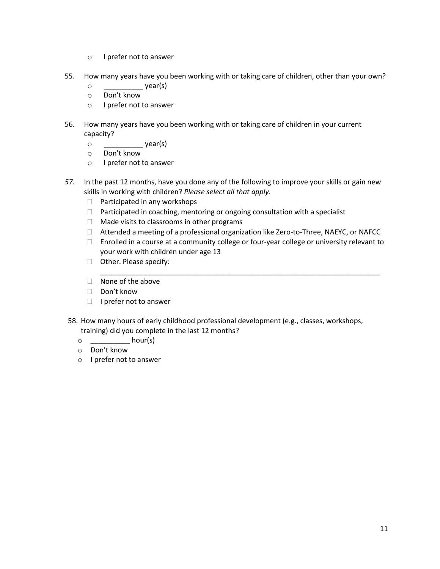- o I prefer not to answer
- 55. How many years have you been working with or taking care of children, other than your own?
	- o \_\_\_\_\_\_\_\_\_\_ year(s)
	- o Don't know
	- o I prefer not to answer
- 56. How many years have you been working with or taking care of children in your current capacity?
	- $\circ$  year(s)
	- o Don't know
	- o I prefer not to answer
- *57.* In the past 12 months, have you done any of the following to improve your skills or gain new skills in working with children? *Please select all that apply.*
	- □ Participated in any workshops
	- $\Box$  Participated in coaching, mentoring or ongoing consultation with a specialist
	- $\Box$  Made visits to classrooms in other programs
	- Attended a meeting of a professional organization like Zero-to-Three, NAEYC, or NAFCC
	- $\Box$  Enrolled in a course at a community college or four-year college or university relevant to your work with children under age 13
	- $\Box$  Other. Please specify: \_\_\_\_\_\_\_\_\_\_\_\_\_\_\_\_\_\_\_\_\_\_\_\_\_\_\_\_\_\_\_\_\_\_\_\_\_\_\_\_\_\_\_\_\_\_\_\_\_\_\_\_\_\_\_\_\_\_\_\_\_\_\_\_\_\_\_\_\_\_\_
	- $\Box$  None of the above
	- Don't know
	- $\Box$  I prefer not to answer
- 58. How many hours of early childhood professional development (e.g., classes, workshops, training) did you complete in the last 12 months?
	- $\circ$  hour(s)
	- o Don't know
	- o I prefer not to answer